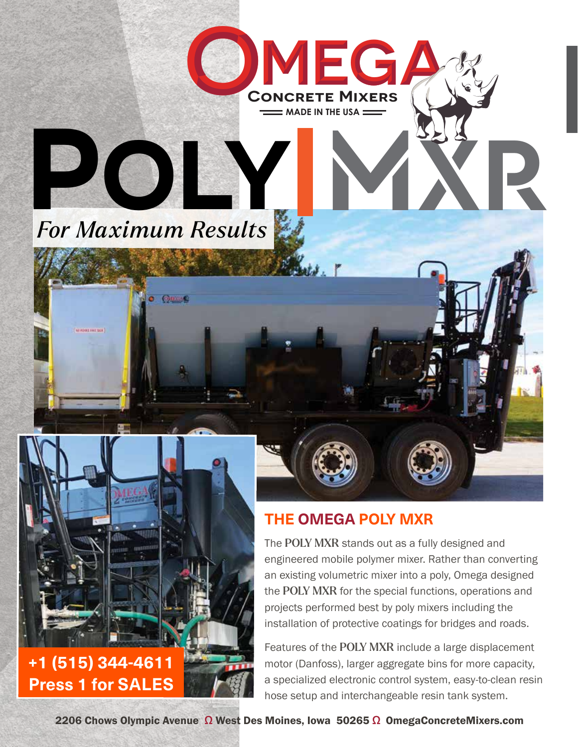

 $\bullet$  Quase

**O**

# **+1 (515) 344-4611 Press 1 for SALES**

## **THE OMEGA POLY MXR**

 $=$  MADE IN THE USA  $=$ CONCRETE
MIXERS

**MM EE GAGA**

The POLY MXR stands out as a fully designed and engineered mobile polymer mixer. Rather than converting an existing volumetric mixer into a poly, Omega designed the POLY MXR for the special functions, operations and projects performed best by poly mixers including the installation of protective coatings for bridges and roads.

Features of the POLY MXR include a large displacement motor (Danfoss), larger aggregate bins for more capacity, a specialized electronic control system, easy-to-clean resin hose setup and interchangeable resin tank system.

2206 Chows Olympic Avenue Ω West Des Moines, Iowa 50265 Ω OmegaConcreteMixers.com